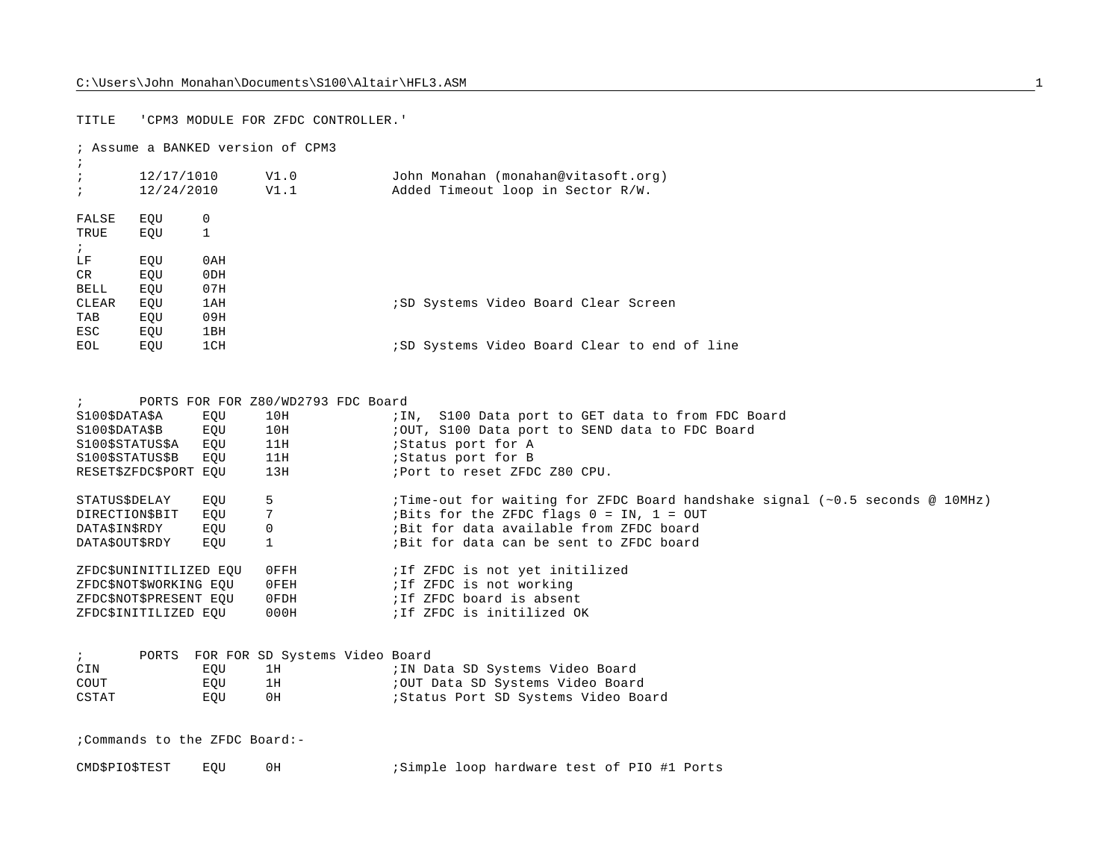## TITLE 'CPM3 MODULE FOR ZFDC CONTROLLER.'

; Assume a BANKED version of CPM3

| $\cdot$    | 12/17/1010 |     | V1.0 | John Monahan (monahan@vitasoft.org)          |
|------------|------------|-----|------|----------------------------------------------|
| $\ddot{i}$ | 12/24/2010 |     | V1.1 | Added Timeout loop in Sector R/W.            |
| FALSE      | EOU        | 0   |      |                                              |
| TRUE       | EOU        | 1   |      |                                              |
| $\cdot$    |            |     |      |                                              |
| LF         | EOU        | 0AH |      |                                              |
| CR         | EOU        | 0DH |      |                                              |
| BELL       | EOU        | 07H |      |                                              |
| CLEAR      | EQU        | 1AH |      | <i>i</i> SD Systems Video Board Clear Screen |
| TAB        | EOU        | 09H |      |                                              |
| ESC        | EOU        | 1BH |      |                                              |
| EOL        | EOU        | 1CH |      | ;SD Systems Video Board Clear to end of line |
|            |            |     |      |                                              |

|                               |     | PORTS FOR FOR Z80/WD2793 FDC Board |                                                                                     |
|-------------------------------|-----|------------------------------------|-------------------------------------------------------------------------------------|
| S100\$DATA\$A                 | EOU | 10H                                | ; IN, S100 Data port to GET data to from FDC Board                                  |
| S100\$DATA\$B                 | EQU | 10H                                | ;OUT, S100 Data port to SEND data to FDC Board                                      |
| S100\$STATUS\$A               | EOU | 11H                                | ;Status port for A                                                                  |
| S100SSTATUSSB                 | EOU | 11H                                | ;Status port for B                                                                  |
| RESET\$ZFDC\$PORT EQU         |     | 13H                                | ; Port to reset ZFDC Z80 CPU.                                                       |
|                               |     |                                    |                                                                                     |
| STATUS\$DELAY                 | EOU | 5                                  | ; Time-out for waiting for ZFDC Board handshake signal $(\sim 0.5$ seconds @ 10MHz) |
| DIRECTION\$BIT                | EOU |                                    | ; Bits for the ZFDC flags $0 = IN$ , $1 = OUT$                                      |
| DATA\$IN\$RDY                 | EQU | $\Omega$                           | ;Bit for data available from ZFDC board                                             |
| DATA\$OUT\$RDY                | EOU |                                    | Bit for data can be sent to ZFDC board                                              |
|                               |     |                                    |                                                                                     |
| ZFDC\$UNINITILIZED EOU        |     | $0$ FFH                            | ; If ZFDC is not yet initilized                                                     |
| ZFDC\$NOT\$WORKING EOU        |     | OFEH                               | ; If ZFDC is not working                                                            |
| ZFDC\$NOT\$PRESENT EOU        |     | 0FDH                               | ; If ZFDC board is absent                                                           |
| ZFDCSINITILIZED EOU           |     | 000H                               | ; If ZFDC is initilized OK                                                          |
|                               |     |                                    |                                                                                     |
|                               |     |                                    |                                                                                     |
| PORTS<br>$\ddot{i}$           |     | FOR FOR SD Systems Video Board     |                                                                                     |
| CIN                           | EQU | 1H                                 | ; IN Data SD Systems Video Board                                                    |
| COUT                          | EOU | 1H                                 | ;OUT Data SD Systems Video Board                                                    |
| CSTAT                         | EQU | 0H                                 | ; Status Port SD Systems Video Board                                                |
|                               |     |                                    |                                                                                     |
|                               |     |                                    |                                                                                     |
| :Commands to the ZFDC Board:- |     |                                    |                                                                                     |
|                               |     |                                    |                                                                                     |
| CMD\$PIO\$TEST                | EOU | 0H                                 | ;Simple loop hardware test of PIO #1 Ports                                          |
|                               |     |                                    |                                                                                     |
|                               |     |                                    |                                                                                     |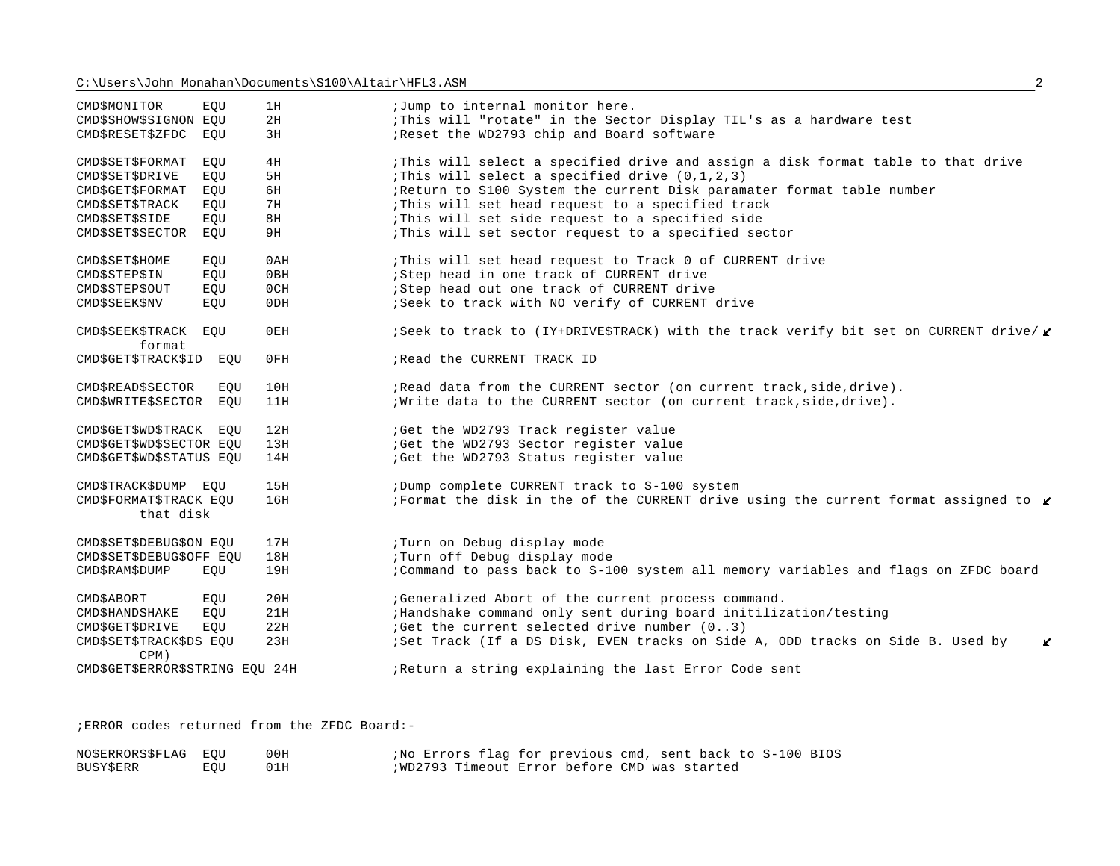| CMD\$MONITOR                        | EOU | 1H     | ;Jump to internal monitor here.                                                               |
|-------------------------------------|-----|--------|-----------------------------------------------------------------------------------------------|
| CMD\$SHOW\$SIGNON EQU               |     | 2H     | This will "rotate" in the Sector Display TIL's as a hardware test                             |
| CMD\$RESET\$ZFDC                    | EOU | 3H     | ; Reset the WD2793 chip and Board software                                                    |
| CMD\$SET\$FORMAT                    | EOU | 4H     | This will select a specified drive and assign a disk format table to that drive               |
| CMD\$SET\$DRIVE                     | EOU | 5H     | : This will select a specified drive $(0,1,2,3)$                                              |
| CMD\$GET\$FORMAT                    | EQU | 6H     | ;Return to S100 System the current Disk paramater format table number                         |
| CMD\$SET\$TRACK                     | EQU | 7H     | This will set head request to a specified track                                               |
| <b>CMD\$SET\$SIDE</b>               | EQU | 8H     | : This will set side request to a specified side                                              |
| CMD\$SET\$SECTOR EOU                |     | 9H     | This will set sector request to a specified sector                                            |
| CMD\$SET\$HOME                      | EOU | 0AH    | This will set head request to Track 0 of CURRENT drive                                        |
| CMD\$STEP\$IN                       | EQU | 0BH    | ; Step head in one track of CURRENT drive                                                     |
| <b>CMD\$STEP\$OUT</b>               | EQU | 0CH    | ; Step head out one track of CURRENT drive                                                    |
| <b>CMD\$SEEK\$NV</b>                | EOU | 0DH    | ; Seek to track with NO verify of CURRENT drive                                               |
| <b>CMD\$SEEK\$TRACK</b><br>format   | EOU | $0$ EH | ; Seek to track to (IY+DRIVE\$TRACK) with the track verify bit set on CURRENT drive/ <b>€</b> |
| CMD\$GET\$TRACK\$ID EQU             |     | 0FH    | ; Read the CURRENT TRACK ID                                                                   |
| <b>CMD\$READ\$SECTOR</b>            | EQU | 10H    | ; Read data from the CURRENT sector (on current track, side, drive).                          |
| CMD\$WRITE\$SECTOR EOU              |     | 11H    | ; Write data to the CURRENT sector (on current track, side, drive).                           |
| CMD\$GET\$WD\$TRACK EQU             |     | 12H    | :Get the WD2793 Track register value                                                          |
| CMD\$GET\$WD\$SECTOR EOU            |     | 13H    | :Get the WD2793 Sector register value                                                         |
| CMD\$GET\$WD\$STATUS EQU            |     | 14H    | :Get the WD2793 Status register value                                                         |
| CMD\$TRACK\$DUMP EQU                |     | 15H    | ;Dump complete CURRENT track to S-100 system                                                  |
| CMD\$FORMAT\$TRACK EOU<br>that disk |     | 16H    | Format the disk in the of the CURRENT drive using the current format assigned to $\ell$       |
| CMD\$SET\$DEBUG\$ON EOU             |     | 17H    | ;Turn on Debug display mode                                                                   |
| CMD\$SET\$DEBUG\$OFF EQU            |     | 18H    | ;Turn off Debug display mode                                                                  |
| <b>CMD\$RAM\$DUMP</b>               | EOU | 19H    | ; Command to pass back to S-100 system all memory variables and flags on ZFDC board           |
| <b>CMD\$ABORT</b>                   | EQU | 20H    | ;Generalized Abort of the current process command.                                            |
| CMD\$HANDSHAKE                      | EOU | 21H    | ; Handshake command only sent during board initilization/testing                              |
| <b>CMD\$GET\$DRIVE</b>              | EQU | 22H    | :Get the current selected drive number (03)                                                   |
| CMD\$SET\$TRACK\$DS EQU<br>CPM)     |     | 23H    | ;Set Track (If a DS Disk, EVEN tracks on Side A, ODD tracks on Side B. Used by<br>K           |
| CMD\$GET\$ERROR\$STRING EQU 24H     |     |        | ; Return a string explaining the last Error Code sent                                         |

;ERROR codes returned from the ZFDC Board:-

| NOSERRORSSFLAG EOU |     | 00H | No Errors flag for previous cmd, sent back to S-100 BIOS |
|--------------------|-----|-----|----------------------------------------------------------|
| BUSY\$ERR          | EOU |     | ; WD2793 Timeout Error before CMD was started            |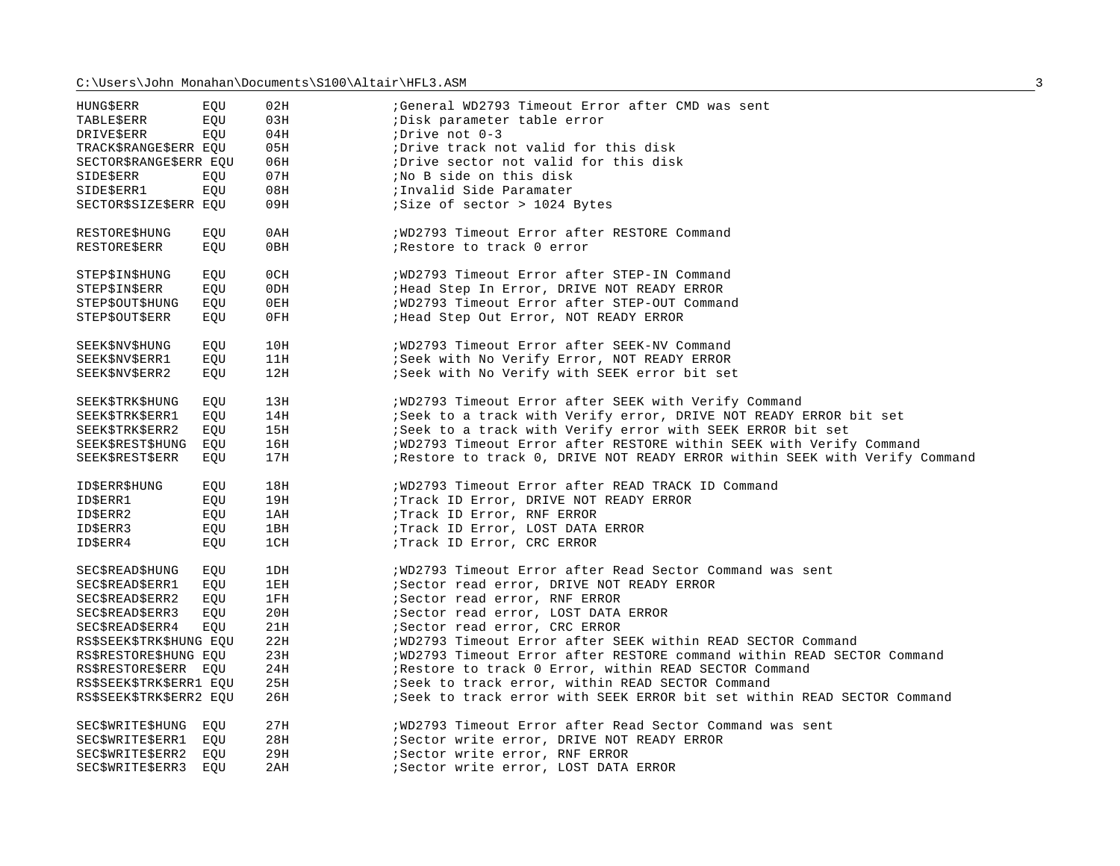| <b>HUNG\$ERR</b>        | EOU | 02H             | General WD2793 Timeout Error after CMD was sent                           |
|-------------------------|-----|-----------------|---------------------------------------------------------------------------|
| <b>TABLE\$ERR</b>       | EQU | 03H             | ; Disk parameter table error                                              |
| <b>DRIVE\$ERR</b>       | EQU | 04H             | ;Drive not 0-3                                                            |
| TRACK\$RANGE\$ERR EQU   |     | 05H             | ;Drive track not valid for this disk                                      |
| SECTOR\$RANGE\$ERR EOU  |     | 06H             | ; Drive sector not valid for this disk                                    |
| SIDE\$ERR               | EQU | 07H             | No B side on this disk                                                    |
| SIDE\$ERR1              | EQU | 08H             | ; Invalid Side Paramater                                                  |
| SECTOR\$SIZE\$ERR EQU   |     | 09H             | Size of sector > 1024 Bytes                                               |
|                         |     |                 |                                                                           |
| RESTORESHUNG            | EQU | 0AH             | ; WD2793 Timeout Error after RESTORE Command                              |
| <b>RESTORE\$ERR</b>     | EOU | 0BH             | ; Restore to track 0 error                                                |
|                         |     |                 |                                                                           |
| STEPSINSHUNG            | EQU | 0CH             | ; WD2793 Timeout Error after STEP-IN Command                              |
| STEPSINSERR             | EOU | 0 <sub>DH</sub> | ; Head Step In Error, DRIVE NOT READY ERROR                               |
| STEP\$OUT\$HUNG         | EOU | 0EH             | ; WD2793 Timeout Error after STEP-OUT Command                             |
| STEP\$OUT\$ERR          | EQU | 0FH             | ; Head Step Out Error, NOT READY ERROR                                    |
|                         |     |                 |                                                                           |
| <b>SEEK\$NV\$HUNG</b>   | EQU | 10H             | ; WD2793 Timeout Error after SEEK-NV Command                              |
| SEEK\$NV\$ERR1          | EQU | 11H             | ; Seek with No Verify Error, NOT READY ERROR                              |
| SEEK\$NV\$ERR2          | EQU | 12H             | Seek with No Verify with SEEK error bit set                               |
|                         |     |                 |                                                                           |
| SEEK\$TRK\$HUNG         | EOU | 13H             | ; WD2793 Timeout Error after SEEK with Verify Command                     |
| SEEK\$TRK\$ERR1         | EQU | 14H             | ; Seek to a track with Verify error, DRIVE NOT READY ERROR bit set        |
| SEEK\$TRK\$ERR2         | EOU | 15H             | Seek to a track with Verify error with SEEK ERROR bit set                 |
| <b>SEEK\$REST\$HUNG</b> | EQU | 16H             | ; WD2793 Timeout Error after RESTORE within SEEK with Verify Command      |
| SEEK\$REST\$ERR         | EOU | 17H             | Restore to track 0, DRIVE NOT READY ERROR within SEEK with Verify Command |
|                         |     |                 |                                                                           |
| <b>IDSERRSHUNG</b>      | EOU | 18H             | ; WD2793 Timeout Error after READ TRACK ID Command                        |
| ID\$ERR1                | EQU | 19H             | ; Track ID Error, DRIVE NOT READY ERROR                                   |
| ID\$ERR2                | EQU | 1 AH            | ;Track ID Error, RNF ERROR                                                |
| ID\$ERR3                | EOU | 1BH             | ; Track ID Error, LOST DATA ERROR                                         |
| ID\$ERR4                | EQU | 1CH             | ;Track ID Error, CRC ERROR                                                |
|                         |     |                 |                                                                           |
| SECSREADSHUNG           | EOU | 1DH             | ; WD2793 Timeout Error after Read Sector Command was sent                 |
| SEC\$READ\$ERR1         | EOU | 1EH             | ; Sector read error, DRIVE NOT READY ERROR                                |
| SEC\$READ\$ERR2         | EQU | 1FH             | ; Sector read error, RNF ERROR                                            |
| SEC\$READ\$ERR3         | EQU | 20H             | ; Sector read error, LOST DATA ERROR                                      |
| SEC\$READ\$ERR4         | EOU | 21H             | ; Sector read error, CRC ERROR                                            |
| RS\$SEEK\$TRK\$HUNG EQU |     | 22H             | ; WD2793 Timeout Error after SEEK within READ SECTOR Command              |
| RS\$RESTORE\$HUNG EQU   |     | 23H             | ; WD2793 Timeout Error after RESTORE command within READ SECTOR Command   |
| RS\$RESTORE\$ERR EQU    |     | 24H             | ; Restore to track 0 Error, within READ SECTOR Command                    |
| RS\$SEEK\$TRK\$ERR1 EQU |     | 25H             | ; Seek to track error, within READ SECTOR Command                         |
| RS\$SEEK\$TRK\$ERR2 EQU |     | 26H             | ; Seek to track error with SEEK ERROR bit set within READ SECTOR Command  |
|                         |     |                 |                                                                           |
| SEC\$WRITE\$HUNG EQU    |     | 27H             | ; WD2793 Timeout Error after Read Sector Command was sent                 |
| SEC\$WRITE\$ERR1 EQU    |     | 28H             | ; Sector write error, DRIVE NOT READY ERROR                               |
| SEC\$WRITE\$ERR2        | EOU | 29H             | ; Sector write error, RNF ERROR                                           |
| SEC\$WRITE\$ERR3        | EOU | 2AH             | ; Sector write error, LOST DATA ERROR                                     |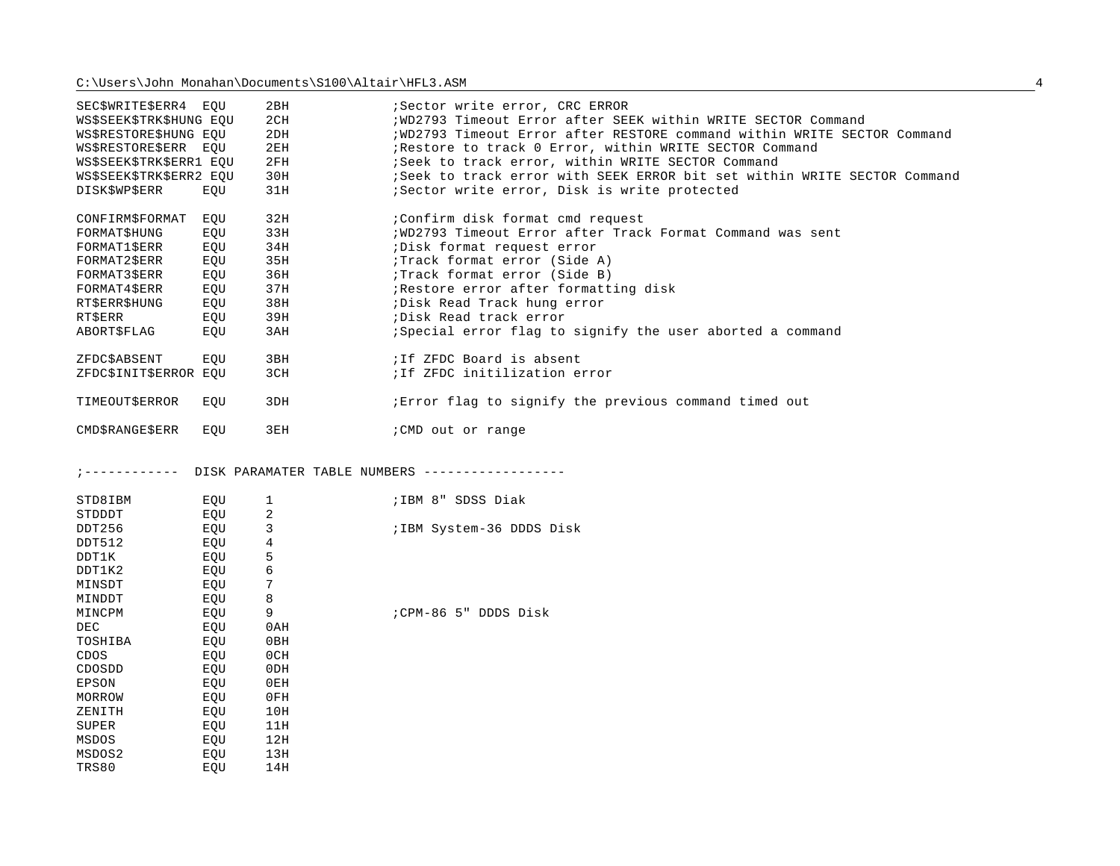| SEC\$WRITE\$ERR4 EOU    |            | 2BH         | ; Sector write error, CRC ERROR<br>; WD2793 Timeout Error after SEEK within WRITE SECTOR Command |
|-------------------------|------------|-------------|--------------------------------------------------------------------------------------------------|
| WS\$SEEK\$TRK\$HUNG EQU |            | 2CH         |                                                                                                  |
| WS\$RESTORE\$HUNG EQU   |            | 2DH         | ; WD2793 Timeout Error after RESTORE command within WRITE SECTOR Command                         |
| WS\$RESTORE\$ERR EQU    |            | 2EH         | Restore to track 0 Error, within WRITE SECTOR Command                                            |
| WS\$SEEK\$TRK\$ERR1 EQU |            | 2FH         | ; Seek to track error, within WRITE SECTOR Command                                               |
| WS\$SEEK\$TRK\$ERR2 EQU |            | 30H         | ; Seek to track error with SEEK ERROR bit set within WRITE SECTOR Command                        |
| DISK\$WP\$ERR           | EQU        | 31H         | ;Sector write error, Disk is write protected                                                     |
| CONFIRM\$FORMAT EQU     |            | 32H         | :Confirm disk format cmd request                                                                 |
| FORMAT\$HUNG            | EQU        | 33H         | ; WD2793 Timeout Error after Track Format Command was sent                                       |
| FORMAT1\$ERR            | EQU        | 34H         | Disk format request error                                                                        |
| FORMAT2\$ERR            | EQU        | 35H         | ;Track format error (Side A)                                                                     |
| FORMAT3\$ERR            | EQU        | 36H         | ;Track format error (Side B)                                                                     |
| FORMAT4\$ERR            | EQU        | 37H         | Restore error after formatting disk                                                              |
| RT\$ERR\$HUNG           | EQU        | 38H         | ; Disk Read Track hung error                                                                     |
| RT\$ERR                 | EQU        | 39H         | ;Disk Read track error                                                                           |
| ABORT\$FLAG             | EQU        | 3AH         | Special error flag to signify the user aborted a command                                         |
| ZFDC\$ABSENT            | EOU        | 3BH         | ; If ZFDC Board is absent                                                                        |
| ZFDC\$INIT\$ERROR EQU   |            | 3CH         | ; If ZFDC initilization error                                                                    |
|                         |            |             |                                                                                                  |
| TIMEOUT\$ERROR          | EQU        | 3DH         | Error flag to signify the previous command timed out                                             |
|                         | EOU        | 3EH         | : CMD out or range                                                                               |
| <b>CMD\$RANGE\$ERR</b>  |            |             |                                                                                                  |
|                         |            |             |                                                                                                  |
| ; ------------          |            |             | DISK PARAMATER TABLE NUMBERS -----------------                                                   |
|                         |            |             |                                                                                                  |
| STD8IBM                 | EQU        | $\mathbf 1$ | ; IBM 8" SDSS Diak                                                                               |
| STDDDT                  | EQU        | 2           |                                                                                                  |
| DDT256                  | EQU        | 3           | ; IBM System-36 DDDS Disk                                                                        |
| DDT512                  | EOU        | 4           |                                                                                                  |
| DDT1K                   | EQU        | 5           |                                                                                                  |
| DDT1K2                  | EQU        | 6           |                                                                                                  |
| MINSDT                  | EQU        | 7           |                                                                                                  |
| MINDDT                  | EQU        | 8           |                                                                                                  |
| MINCPM                  | EQU        | 9           | :CPM-86 5" DDDS Disk                                                                             |
| <b>DEC</b>              | EQU        | 0AH         |                                                                                                  |
| TOSHIBA                 | EQU        | 0BH         |                                                                                                  |
| CDOS                    | EQU        | 0CH         |                                                                                                  |
| CDOSDD                  | EOU        | 0DH         |                                                                                                  |
| EPSON                   | EQU        | 0EH         |                                                                                                  |
| MORROW                  | EQU        | 0FH         |                                                                                                  |
| ZENITH                  | EQU        | 10H         |                                                                                                  |
| SUPER                   | EQU        | 11H         |                                                                                                  |
| MSDOS                   | EQU        | 12H         |                                                                                                  |
| MSDOS2<br>TRS80         | EQU<br>EOU | 13H<br>14H  |                                                                                                  |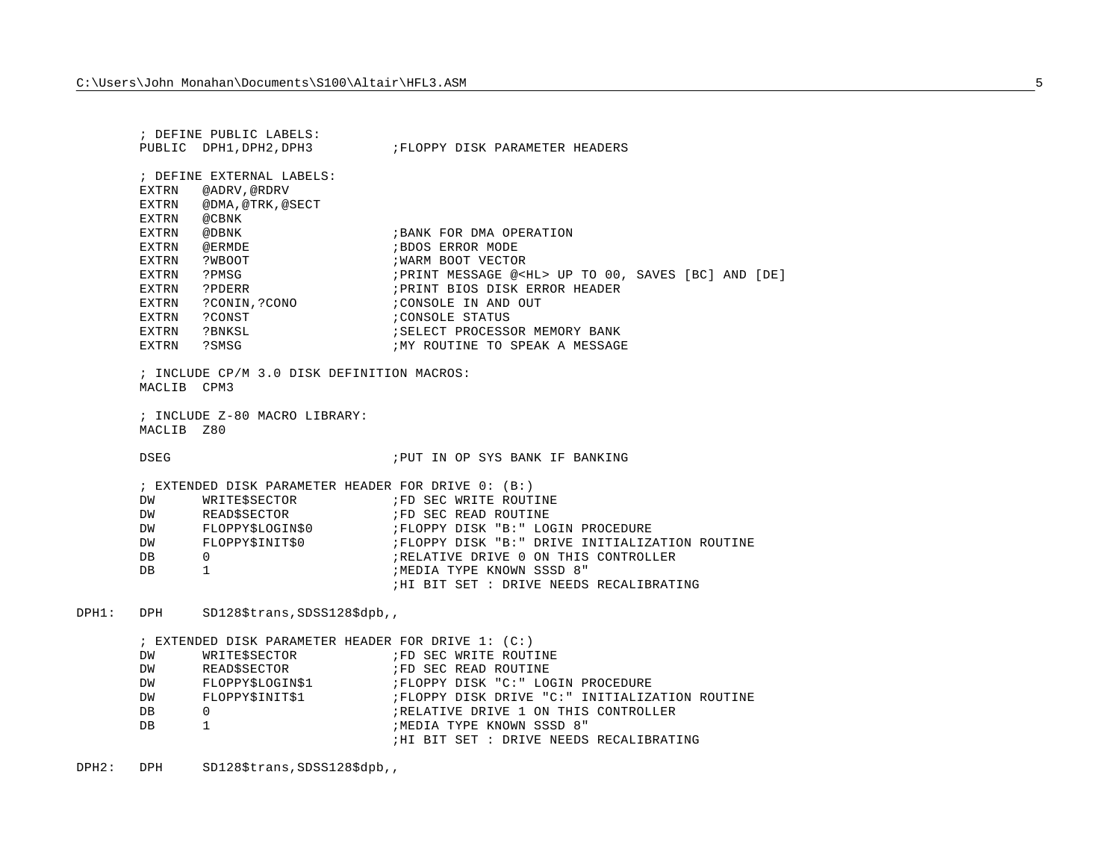; DEFINE PUBLIC LABELS:PUBLIC DPH1, DPH2, DPH3 ;FLOPPY DISK PARAMETER HEADERS ; DEFINE EXTERNAL LABELS:EXTRN @ADRV,@RDRV EXTRN @DMA,@TRK,@SECT EXTRN @CBNKEXTRN @DBNK ; BANK FOR DMA OPERATION EXTRN @ERMDE ;BDOS ERROR MODEEXTRN ?WBOOT **black in the contract of the EXTRN** POOT VECTOR EXTRN ?PMSG ;PRINT MESSAGE @<HL> UP TO 00, SAVES [BC] AND [DE] EXTRN ?PDERR ;PRINT BIOS DISK ERROR HEADER EXTRN ?CONIN, ?CONO ; CONSOLE IN AND OUT EXTRN ?CONST ;CONSOLE STATUS EXTRN ?BNKSL ;SELECT PROCESSOR MEMORY BANKEXTRN ?SMSG : WY ROUTINE TO SPEAK A MESSAGE ; INCLUDE CP/M 3.0 DISK DEFINITION MACROS: MACLIB CPM3; INCLUDE Z-80 MACRO LIBRARY:MACLIB Z80DSEG ;PUT IN OP SYS BANK IF BANKING; EXTENDED DISK PARAMETER HEADER FOR DRIVE 0: ( B:) DW WRITE\$SECTOR : FD SEC WRITE ROUTINE DW READ\$SECTOR : FD SEC READ ROUTINE DW FLOPPY\$LOGIN\$0 ;FLOPPY DISK "B:" LOGIN PROCEDURE DW FLOPPY\$INIT\$0 ;FLOPPY DISK "B:" DRIVE INITIALIZATION ROUTINE DB 0 ;RELATIVE DRIVE 0 ON THIS CONTROLLERDB 1 ;MEDIA TYPE KNOWN SSSD 8" ;HI BIT SET : DRIVE NEEDS RECALIBRATINGDPH1: DPH SD128\$trans, SDSS128\$dpb,, ; EXTENDED DISK PARAMETER HEADER FOR DRIVE 1: (C:) DW WRITE\$SECTOR : FD SEC WRITE ROUTINE DW READSSECTOR : FD SEC READ ROUTINE DW FLOPPY\$LOGIN\$1 ;FLOPPY DISK "C:" LOGIN PROCEDURE DW FLOPPY\$INIT\$1 ;FLOPPY DISK DRIVE "C:" INITIALIZATION ROUTINE DB 0 0 6 ;RELATIVE DRIVE 1 ON THIS CONTROLLER DB 1 ;MEDIA TYPE KNOWN SSSD 8" ;HI BIT SET : DRIVE NEEDS RECALIBRATING

DPH2: DPH SD128\$trans, SDSS128\$dpb,,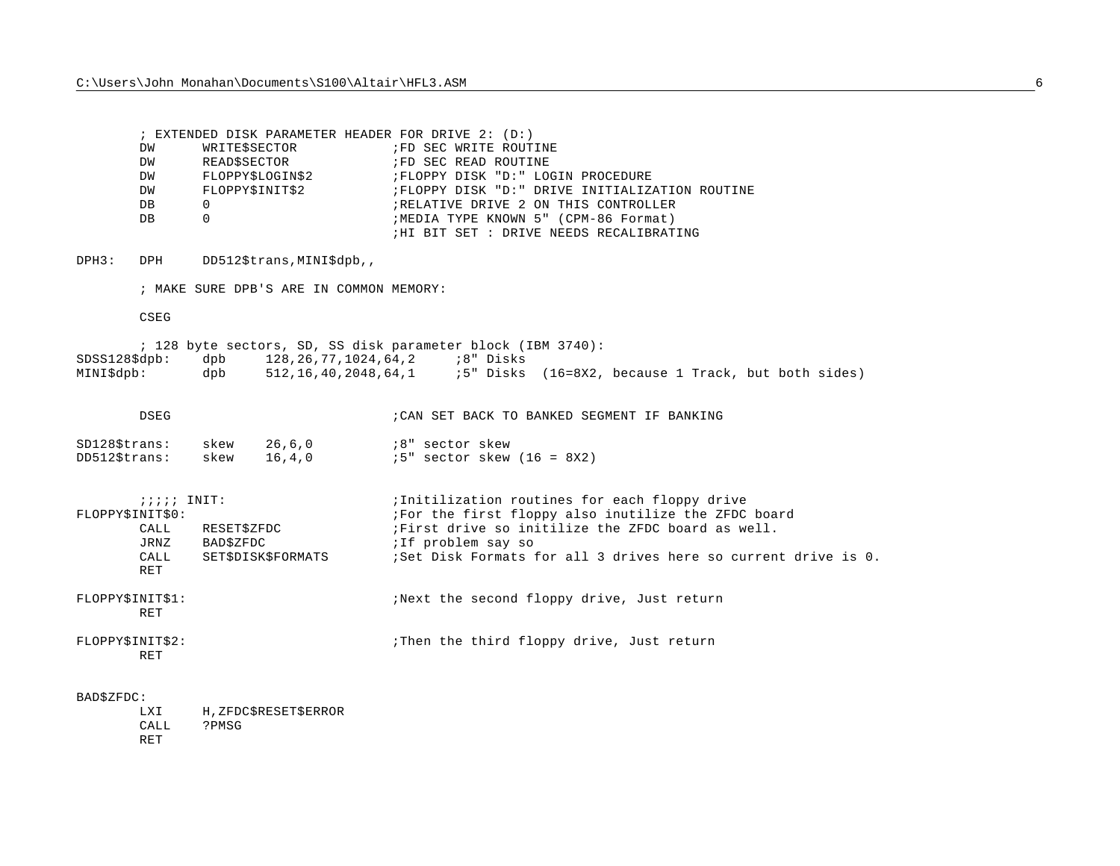; EXTENDED DISK PARAMETER HEADER FOR DRIVE 2: (D:) DW WRITE\$SECTOR : FD SEC WRITE ROUTINE DW READ\$SECTOR : FD SEC READ ROUTINE DW FLOPPY\$LOGIN\$2 ;FLOPPY DISK "D:" LOGIN PROCEDURE DW FLOPPY\$INIT\$2 ;FLOPPY DISK "D:" DRIVE INITIALIZATION ROUTINE DB 0 ;RELATIVE DRIVE 2 ON THIS CONTROLLERDB 0 ;MEDIA TYPE KNOWN 5" (CPM-86 Format) ;HI BIT SET : DRIVE NEEDS RECALIBRATING

DPH3: DPH DD512\$trans, MINI\$dpb,,

; MAKE SURE DPB'S ARE IN COMMON MEMORY:

CSEG

; 128 byte sectors, SD, SS disk parameter block (IBM 3740): SDSS128\$dpb: dpb 128,26,77,1024,64,2 ;8" Disks MINI\$dpb: dpb 512,16,40,2048,64,1 ;5" Disks (16=8X2, because 1 Track, but both sides)

| DSEG             |      |        | ; CAN SET BACK TO BANKED SEGMENT IF BANKING |
|------------------|------|--------|---------------------------------------------|
| $SD128$ \$trans: | skew | 26.6.0 | :8" sector skew                             |
| $DD5125$ trans:  | skew | 16.4.0 | $15"$ sector skew $(16 = 8X2)$              |

| $i i i i$ INIT:<br>FLOPPY\$INIT\$0: |                                | ;Initilization routines for each floppy drive<br>For the first floppy also inutilize the ZFDC board |  |  |
|-------------------------------------|--------------------------------|-----------------------------------------------------------------------------------------------------|--|--|
| CALL<br>JRNZ                        | RESETSZFDC<br><b>BAD\$ZFDC</b> | First drive so initilize the ZFDC board as well.<br>ilf problem say so                              |  |  |
| CALL<br>RET                         | <b>SETSDISKSFORMATS</b>        | Set Disk Formats for all 3 drives here so current drive is 0.                                       |  |  |
| FLOPPY\$INIT\$1:<br>RET             |                                | Next the second floppy drive, Just return                                                           |  |  |
| FLOPPYSINITS2:<br><b>RET</b>        |                                | Then the third floppy drive, Just return                                                            |  |  |

## BAD\$ZFDC:

LXI H, ZFDC\$RESET\$ERROR CALL ?PMSGRET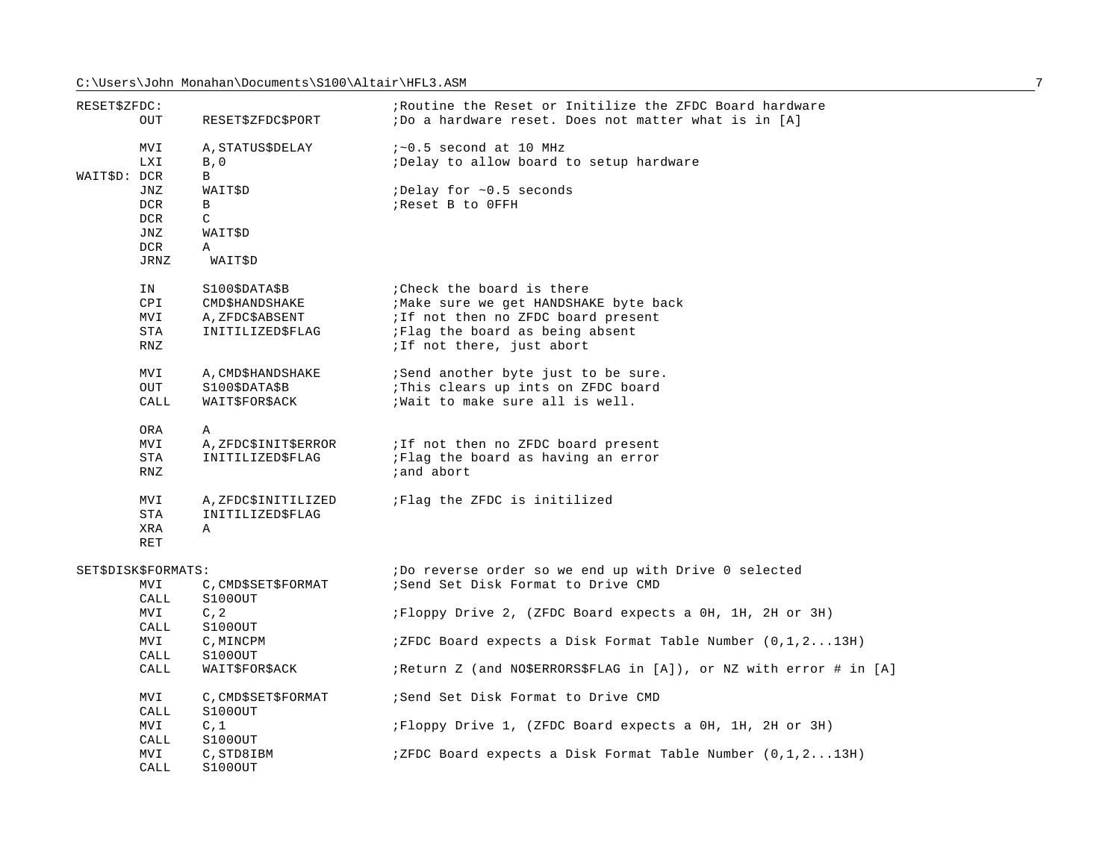| RESET\$ZFDC:        |             |                                | Routine the Reset or Initilize the ZFDC Board hardware              |
|---------------------|-------------|--------------------------------|---------------------------------------------------------------------|
|                     | <b>OUT</b>  | RESET\$ZFDC\$PORT              | ;Do a hardware reset. Does not matter what is in [A]                |
|                     | <b>MVI</b>  | A, STATUS\$DELAY               | $i \sim 0.5$ second at 10 MHz                                       |
|                     | LXI         | B, 0                           | ;Delay to allow board to setup hardware                             |
| WAIT\$D: DCR        |             | B                              |                                                                     |
|                     | JNZ         | WAIT\$D                        | :Delay for ~0.5 seconds                                             |
|                     | DCR         | B                              | ; Reset B to OFFH                                                   |
|                     | DCR         | $\mathsf{C}$                   |                                                                     |
|                     | JNZ         | WAIT\$D                        |                                                                     |
|                     | <b>DCR</b>  | A                              |                                                                     |
|                     | JRNZ        | WAIT\$D                        |                                                                     |
|                     | IN          | S100\$DATA\$B                  | : Check the board is there                                          |
|                     | <b>CPI</b>  | CMD\$HANDSHAKE                 | ; Make sure we get HANDSHAKE byte back                              |
|                     | MVI         | A, ZFDC\$ABSENT                | ; If not then no ZFDC board present                                 |
|                     | STA         | INITILIZED\$FLAG               | ;Flag the board as being absent                                     |
|                     | <b>RNZ</b>  |                                | ; If not there, just abort                                          |
|                     | MVI         | A, CMD\$HANDSHAKE              | ; Send another byte just to be sure.                                |
|                     | OUT         | S100\$DATA\$B                  | : This clears up ints on ZFDC board                                 |
|                     | CALL        | WAIT\$FOR\$ACK                 | ; Wait to make sure all is well.                                    |
|                     | ORA         | A                              |                                                                     |
|                     | MVI         | A, ZFDC\$INIT\$ERROR           | ; If not then no ZFDC board present                                 |
|                     | STA         | INITILIZED\$FLAG               | ;Flag the board as having an error                                  |
|                     | <b>RNZ</b>  |                                | ; and abort                                                         |
|                     | MVI         | A, ZFDC\$INITILIZED            | Flag the ZFDC is initilized                                         |
|                     | STA         | INITILIZED\$FLAG               |                                                                     |
|                     | <b>XRA</b>  | $\mathbb{A}$                   |                                                                     |
|                     | <b>RET</b>  |                                |                                                                     |
| SET\$DISK\$FORMATS: |             |                                | ;Do reverse order so we end up with Drive 0 selected                |
|                     | MVI<br>CALL | C, CMD\$SET\$FORMAT<br>S100OUT | ; Send Set Disk Format to Drive CMD                                 |
|                     | MVI         | C, 2                           | ; Floppy Drive 2, (ZFDC Board expects a 0H, 1H, 2H or 3H)           |
|                     | CALL        | S100OUT                        |                                                                     |
|                     | MVI         | C, MINCPM                      | $77.7$ $77.7$ Board expects a Disk Format Table Number $(0,1,213H)$ |
|                     | CALL        | S100OUT                        |                                                                     |
|                     | CALL        | WAIT\$FOR\$ACK                 | ;Return Z (and NO\$ERRORS\$FLAG in [A]), or NZ with error # in [A]  |
|                     | MVI         | C, CMD\$SET\$FORMAT            | ; Send Set Disk Format to Drive CMD                                 |
|                     | CALL        | S100OUT                        |                                                                     |
|                     | MVI         | C, 1                           | ;Floppy Drive 1, (ZFDC Board expects a OH, 1H, 2H or 3H)            |
|                     | CALL        | S100OUT                        |                                                                     |
|                     | MVI         | C, STD8IBM                     | ; ZFDC Board expects a Disk Format Table Number $(0,1,213H)$        |
|                     | CALL        | S100OUT                        |                                                                     |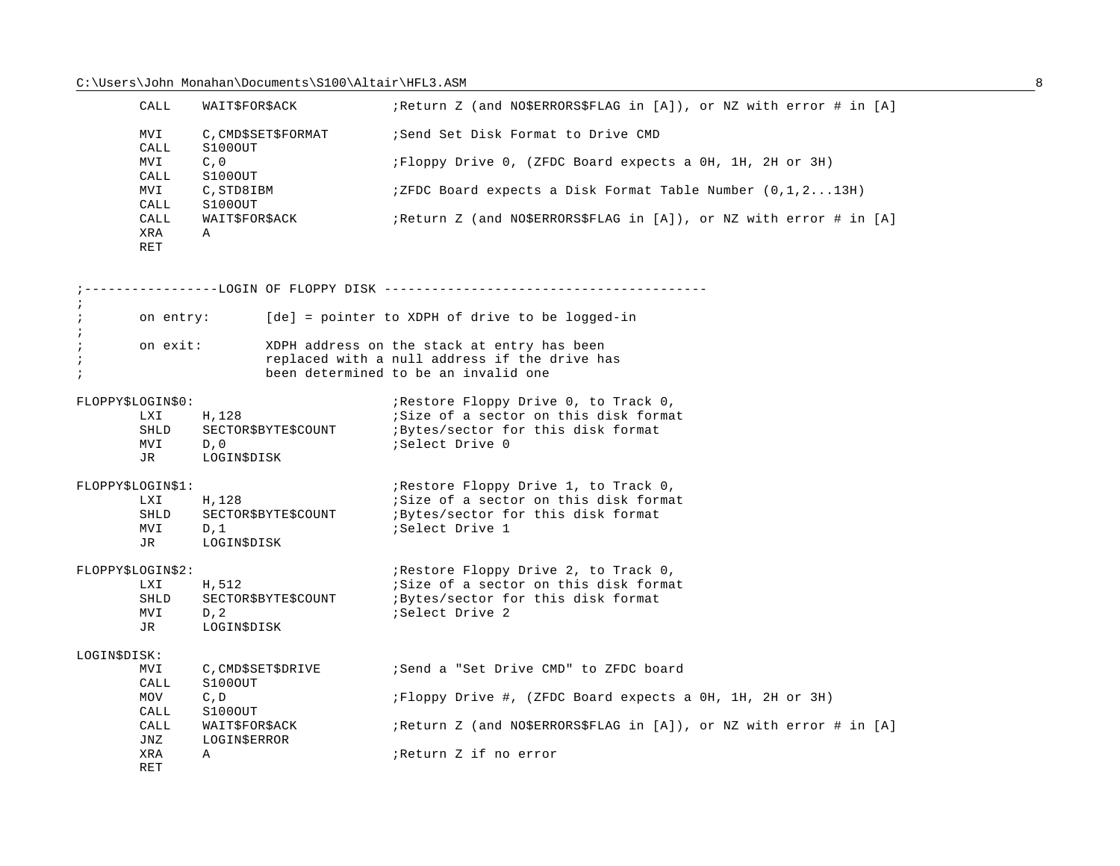|                                        | CALL                                                                             | WAIT\$FOR\$ACK<br>C, CMD\$SET\$FORMAT<br>S100OUT     |  | ; Return Z (and NO\$ERRORS\$FLAG in [A]), or NZ with error # in [A]                                                                  |
|----------------------------------------|----------------------------------------------------------------------------------|------------------------------------------------------|--|--------------------------------------------------------------------------------------------------------------------------------------|
|                                        | MVI<br>CALL                                                                      |                                                      |  | ; Send Set Disk Format to Drive CMD                                                                                                  |
|                                        | MVI<br>C, 0<br>S100OUT<br>CALL<br>MVI<br>C, STD8IBM<br>S100OUT<br>CALL           |                                                      |  | ; Floppy Drive 0, (ZFDC Board expects a 0H, 1H, 2H or 3H)                                                                            |
|                                        |                                                                                  |                                                      |  | $i$ ZFDC Board expects a Disk Format Table Number $(0, 1, 213H)$                                                                     |
|                                        | CALL<br>XRA<br><b>RET</b>                                                        | WAIT\$FOR\$ACK<br>$\mathbf{A}$                       |  | ; Return Z (and NO\$ERRORS\$FLAG in [A]), or NZ with error # in [A]                                                                  |
|                                        |                                                                                  |                                                      |  | ---------LOGIN OF FLOPPY DISK -----------------                                                                                      |
| $\ddot{i}$                             | on entry:                                                                        |                                                      |  | [de] = pointer to XDPH of drive to be logged-in                                                                                      |
| $\ddot{i}$<br>$\ddot{i}$<br>$\ddot{i}$ | on exit:                                                                         |                                                      |  | XDPH address on the stack at entry has been<br>replaced with a null address if the drive has<br>been determined to be an invalid one |
|                                        | FLOPPY\$LOGIN\$0:                                                                |                                                      |  | ; Restore Floppy Drive 0, to Track 0,                                                                                                |
|                                        | LXI<br>SHLD<br>MVI<br>JR                                                         | H, 128<br>SECTOR\$BYTE\$COUNT<br>D, 0<br>LOGIN\$DISK |  | Size of a sector on this disk format<br><i>i</i> Bytes/sector for this disk format<br>;Select Drive 0                                |
|                                        | FLOPPY\$LOGIN\$1:                                                                |                                                      |  | ; Restore Floppy Drive 1, to Track 0,                                                                                                |
|                                        | <b>LXI</b><br>SHLD<br>MVI<br>JR                                                  | H, 128<br>SECTOR\$BYTE\$COUNT<br>D, 1<br>LOGINSDISK  |  | ;Size of a sector on this disk format<br><i>i</i> Bytes/sector for this disk format<br><i>Select Drive 1</i>                         |
|                                        | FLOPPY\$LOGIN\$2:                                                                |                                                      |  | ; Restore Floppy Drive 2, to Track 0,                                                                                                |
|                                        | H, 512<br>LXI<br>SHLD<br>SECTOR\$BYTE\$COUNT<br>MVI<br>D, 2<br>LOGIN\$DISK<br>JR |                                                      |  | Size of a sector on this disk format<br><i>i</i> Bytes/sector for this disk format<br><i>Select Drive 2</i>                          |
| LOGIN\$DISK:                           |                                                                                  |                                                      |  |                                                                                                                                      |
|                                        | MVI<br>CALL                                                                      | C, CMD\$SET\$DRIVE<br>S100OUT                        |  | ; Send a "Set Drive CMD" to ZFDC board                                                                                               |
|                                        | MOV<br>CALL                                                                      | C, D<br>S100OUT                                      |  | ; Floppy Drive #, (ZFDC Board expects a 0H, 1H, 2H or 3H)                                                                            |
|                                        | CALL<br>JNZ                                                                      | WAIT\$FOR\$ACK<br>LOGIN\$ERROR                       |  | ; Return Z (and NO\$ERRORS\$FLAG in [A]), or NZ with error # in [A]                                                                  |
|                                        | XRA<br><b>RET</b>                                                                | Α                                                    |  | Return Z if no error                                                                                                                 |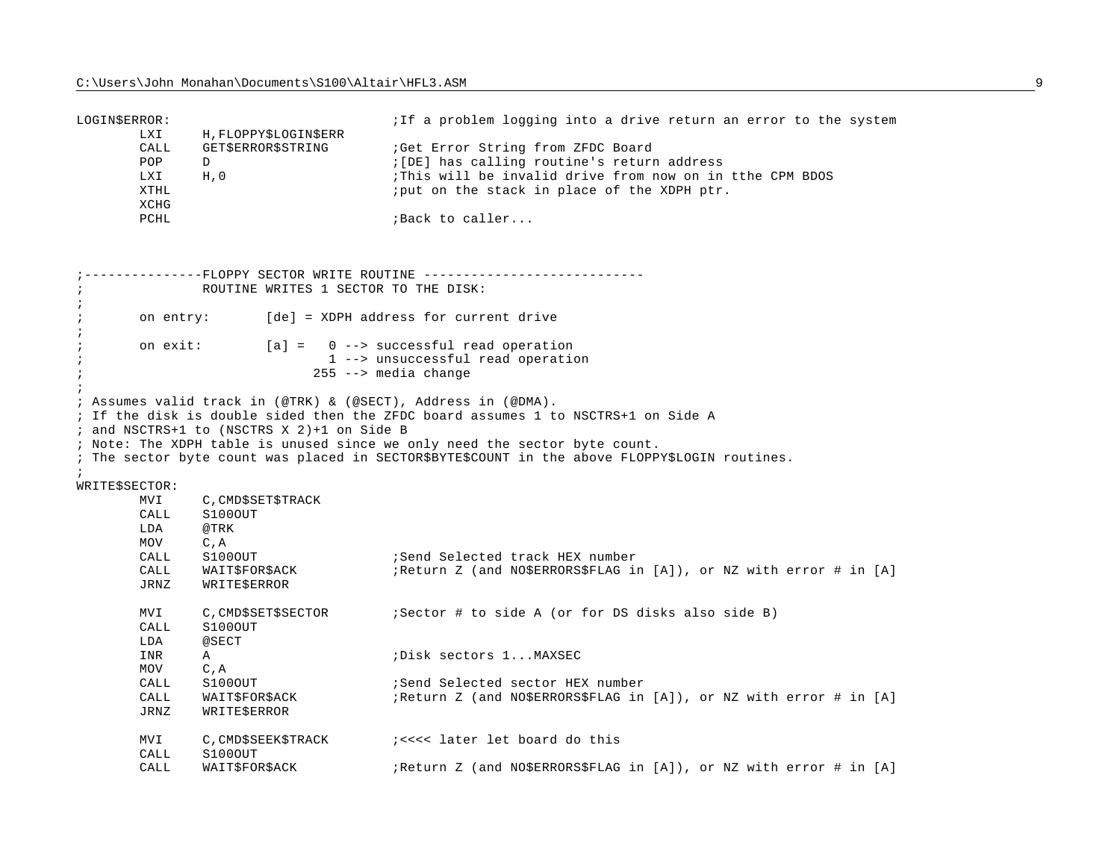| LOGIN\$ERROR:                 | LXI                                | H, FLOPPY\$LOGIN\$ERR                                                                                       | iIf a problem logging into a drive return an error to the system                                                                                                                             |
|-------------------------------|------------------------------------|-------------------------------------------------------------------------------------------------------------|----------------------------------------------------------------------------------------------------------------------------------------------------------------------------------------------|
|                               | CALL<br>POP<br>LXI<br>XTHL<br>XCHG | GET\$ERROR\$STRING<br>D<br>H, 0                                                                             | ; Get Error String from ZFDC Board<br>: [DE] has calling routine's return address<br>This will be invalid drive from now on in tthe CPM BDOS<br>; put on the stack in place of the XDPH ptr. |
|                               | PCHL                               |                                                                                                             | ; Back to caller                                                                                                                                                                             |
|                               |                                    | ------FLOPPY SECTOR WRITE ROUTINE --------                                                                  |                                                                                                                                                                                              |
| $\cdot$<br>$\cdot$            |                                    | ROUTINE WRITES 1 SECTOR TO THE DISK:                                                                        |                                                                                                                                                                                              |
| $\cdot$<br>$\cdot$            | on entry:                          |                                                                                                             | [de] = XDPH address for current drive                                                                                                                                                        |
| $\cdot$<br>$\cdot$<br>$\cdot$ | on exit:                           |                                                                                                             | $[a] = 0$ --> successful read operation<br>1 --> unsuccessful read operation<br>$255$ --> media change                                                                                       |
|                               |                                    | ; Assumes valid track in (@TRK) & (@SECT), Address in (@DMA).<br>; and NSCTRS+1 to (NSCTRS X 2)+1 on Side B | ; If the disk is double sided then the ZFDC board assumes 1 to NSCTRS+1 on Side A                                                                                                            |
| $\cdot$                       |                                    |                                                                                                             | ; Note: The XDPH table is unused since we only need the sector byte count.<br>; The sector byte count was placed in SECTOR\$BYTE\$COUNT in the above FLOPPY\$LOGIN routines.                 |

WRITE\$SECTOR:

| MVI<br>CALL<br>LDA | C, CMD\$SET\$TRACK<br>S100OUT<br>@TRK |                                                                     |
|--------------------|---------------------------------------|---------------------------------------------------------------------|
| <b>MOV</b>         | C, A                                  |                                                                     |
| CALL               | S100OUT                               | ; Send Selected track HEX number                                    |
| CALL               | WAIT\$FOR\$ACK                        | ; Return Z (and NO\$ERRORS\$FLAG in [A]), or NZ with error # in [A] |
| JRNZ               | WRITESERROR                           |                                                                     |
| MVI                | C, CMD\$SET\$SECTOR                   | ; Sector # to side A (or for DS disks also side B)                  |
| CALL               | S100OUT                               |                                                                     |
| LDA                | @SECT                                 |                                                                     |
| INR                | A                                     | Disk sectors 1MAXSEC                                                |
| MOV                | $C$ , $A$                             |                                                                     |
| CALL               | S100OUT                               | Send Selected sector HEX number                                     |
| CALL               | WAIT\$FOR\$ACK                        | ; Return Z (and NO\$ERRORS\$FLAG in [A]), or NZ with error # in [A] |
| JRNZ               | WRITESERROR                           |                                                                     |
| MVI<br>CALL        | C, CMD\$SEEK\$TRACK<br>S100OUT        | isss later let board do this                                        |
| CALL               | WAIT\$FOR\$ACK                        | ; Return Z (and NO\$ERRORS\$FLAG in [A]), or NZ with error # in [A] |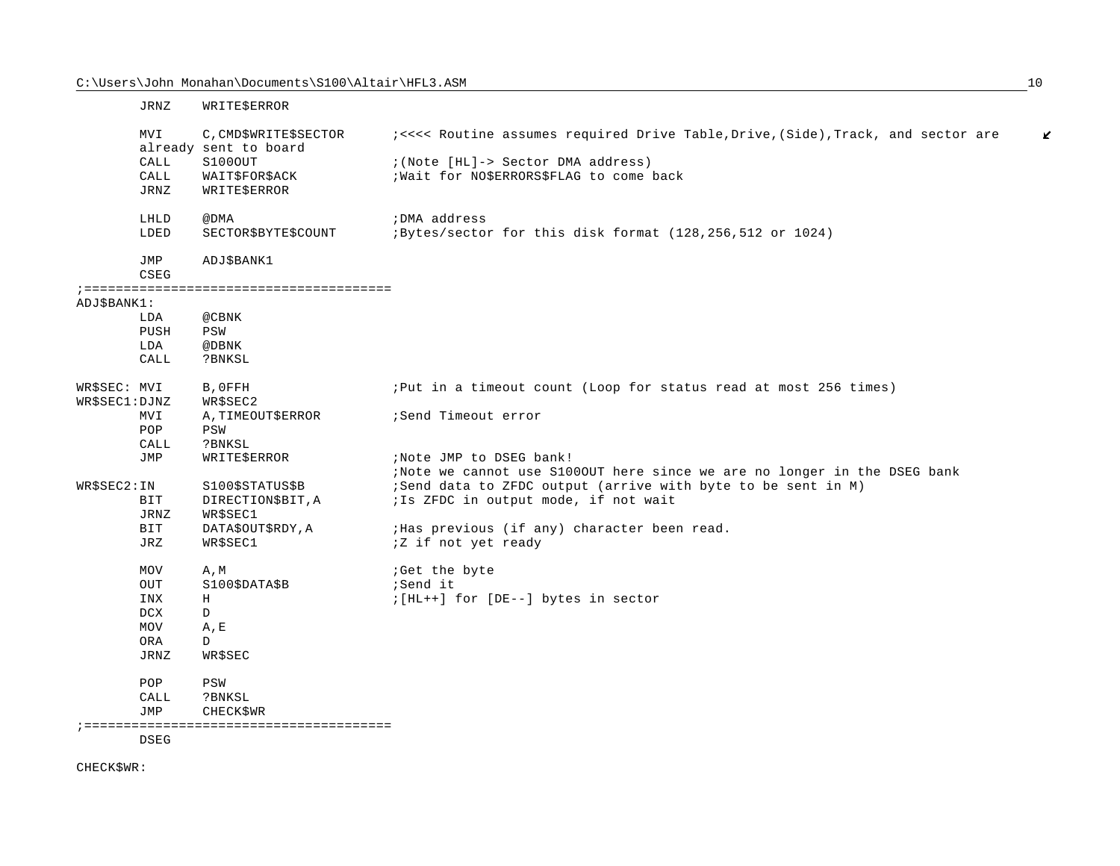|                               | JRNZ        | WRITE\$ERROR                                   |                                                                                        |
|-------------------------------|-------------|------------------------------------------------|----------------------------------------------------------------------------------------|
|                               | MVI         | C, CMD\$WRITE\$SECTOR<br>already sent to board | i<<<< Routine assumes required Drive Table, Drive, (Side), Track, and sector are<br>K. |
|                               | CALL        | S1000UT                                        | ; (Note [HL]-> Sector DMA address)                                                     |
|                               | CALL        | WAIT\$FOR\$ACK                                 | ; Wait for NO\$ERRORS\$FLAG to come back                                               |
|                               | JRNZ        | WRITE\$ERROR                                   |                                                                                        |
|                               | LHLD        | @DMA                                           | ; DMA address                                                                          |
|                               | LDED        | SECTOR\$BYTE\$COUNT                            | ;Bytes/sector for this disk format (128,256,512 or 1024)                               |
|                               | JMP<br>CSEG | ADJ\$BANK1                                     |                                                                                        |
|                               |             |                                                |                                                                                        |
| ADJ\$BANK1:                   |             |                                                |                                                                                        |
|                               | LDA         | @CBNK                                          |                                                                                        |
|                               | PUSH        | PSW                                            |                                                                                        |
|                               | LDA         | @DBNK                                          |                                                                                        |
|                               | CALL        | ?BNKSL                                         |                                                                                        |
| WR\$SEC: MVI<br>WR\$SEC1:DJNZ |             | B, OFFH<br>WR\$SEC2                            | ; Put in a timeout count (Loop for status read at most 256 times)                      |
|                               | MVI         | A, TIMEOUT\$ERROR                              | Send Timeout error                                                                     |
|                               | POP         | PSW                                            |                                                                                        |
|                               | CALL        | ?BNKSL                                         |                                                                                        |
|                               | JMP         | WRITE\$ERROR                                   | ; Note JMP to DSEG bank!                                                               |
|                               |             |                                                | ;Note we cannot use S1000UT here since we are no longer in the DSEG bank               |
| WR\$SEC2:IN                   |             | S100\$STATUS\$B                                | ;Send data to ZFDC output (arrive with byte to be sent in M)                           |
|                               | BIT         | DIRECTION\$BIT, A                              | ; Is ZFDC in output mode, if not wait                                                  |
|                               | JRNZ        | WR\$SEC1                                       |                                                                                        |
|                               | BIT         | DATA\$OUT\$RDY, A                              | ; Has previous (if any) character been read.                                           |
|                               | JRZ         | WR\$SEC1                                       | <i>i</i> Z if not yet ready                                                            |
|                               | <b>MOV</b>  | A, M                                           | ;Get the byte                                                                          |
|                               | OUT         | S100\$DATA\$B                                  | ;Send it                                                                               |
|                               | INX         | Η                                              | $; [HL++]$ for [DE--] bytes in sector                                                  |
|                               | DCX         | $\mathbb{D}$                                   |                                                                                        |
|                               | <b>MOV</b>  | A, E                                           |                                                                                        |
|                               | <b>ORA</b>  | D                                              |                                                                                        |
|                               | <b>JRNZ</b> | WR\$SEC                                        |                                                                                        |
|                               | POP         | PSW                                            |                                                                                        |
|                               | CALL        | ?BNKSL                                         |                                                                                        |
|                               | JMP         | <b>CHECK\$WR</b>                               |                                                                                        |
|                               |             |                                                |                                                                                        |

DSEG

CHECK\$WR: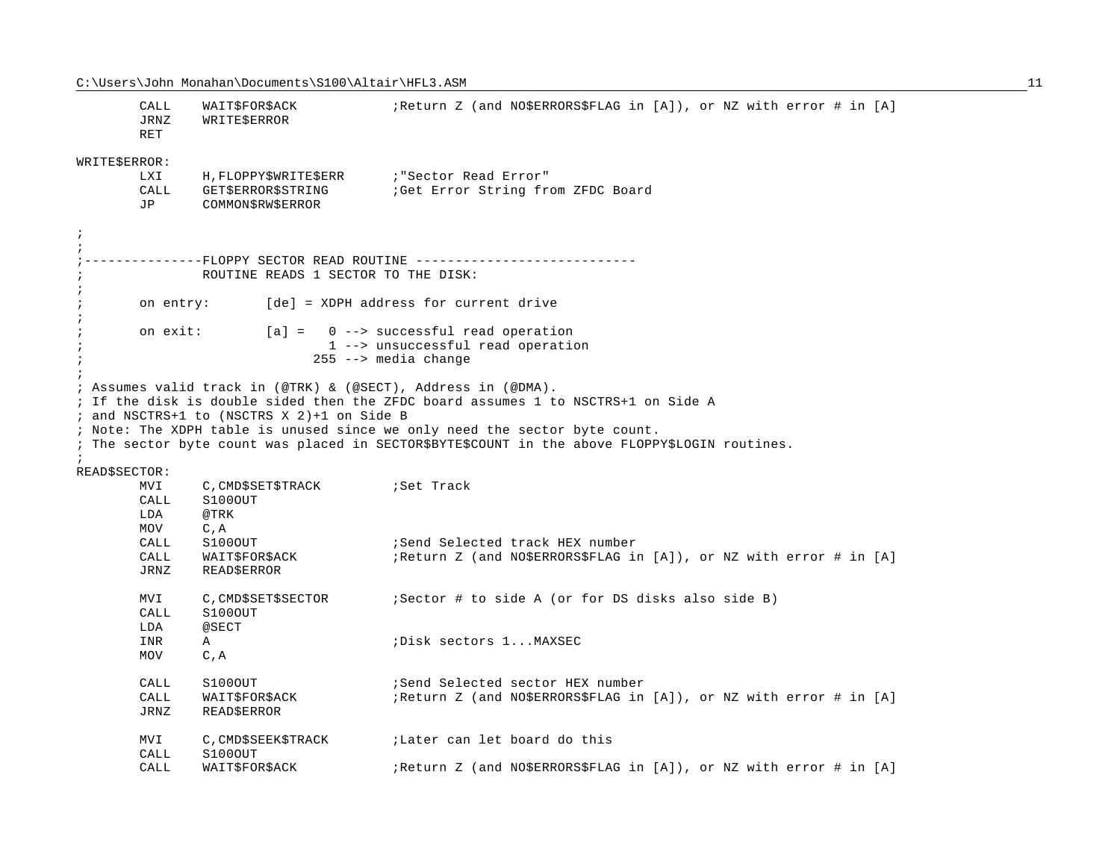CALL WAIT\$FOR\$ACK : Return Z (and NO\$ERRORS\$FLAG in [A]), or NZ with error # in [A] JRNZ WRITE\$ERROR RETWRITE\$ERROR: LXI H, FLOPPY\$WRITE\$ERR : "Sector Read Error" CALL GET\$ERROR\$STRING : Get Error String from ZFDC Board JP COMMON\$RW\$ERROR ;;;---------------FLOPPY SECTOR READ ROUTINE ----------------------------; ROUTINE READS 1 SECTOR TO THE DISK:;; on entry: [de] = XDPH address for current drive ;; on exit: [a] = 0 --> successful read operation ; 1 --> unsuccessful read operation ; 255 --> media change ;; Assumes valid track in (@TRK) & (@SECT), Address in (@DMA). ; If the disk is double sided then the ZFDC board assumes 1 to NSCTRS+1 on Side A ; and NSCTRS+1 to (NSCTRS X 2)+1 on Side B ; Note: The XDPH table is unused since we only need the sector byte count. ; The sector byte count was placed in SECTOR\$BYTE\$COUNT in the above FLOPPY\$LOGIN routines. ;READ\$SECTOR: MVI C, CMD\$SET\$TRACK : Set Track CALL S100OUTLDA @TRKMOV C,A CALL S100OUT :Send Selected track HEX number CALL WAIT\$FOR\$ACK :Return Z (and NO\$ERRORS\$FLAG in [A]), or NZ with error # in [A] JRNZ READ\$ERROR MVI C, CMD\$SET\$SECTOR : Sector # to side A (or for DS disks also side B) CALL S100OUTLDA @SECTINR A ;Disk sectors 1...MAXSECMOV C,A CALL S100OUT : Send Selected sector HEX number CALL WAIT\$FOR\$ACK : Return Z (and NO\$ERRORS\$FLAG in [A]), or NZ with error # in [A] JRNZ READ\$ERROR MVI C, CMD\$SEEK\$TRACK ;Later can let board do this CALL S100OUTCALL WAIT\$FOR\$ACK : Return Z (and NO\$ERRORS\$FLAG in [A]), or NZ with error # in [A]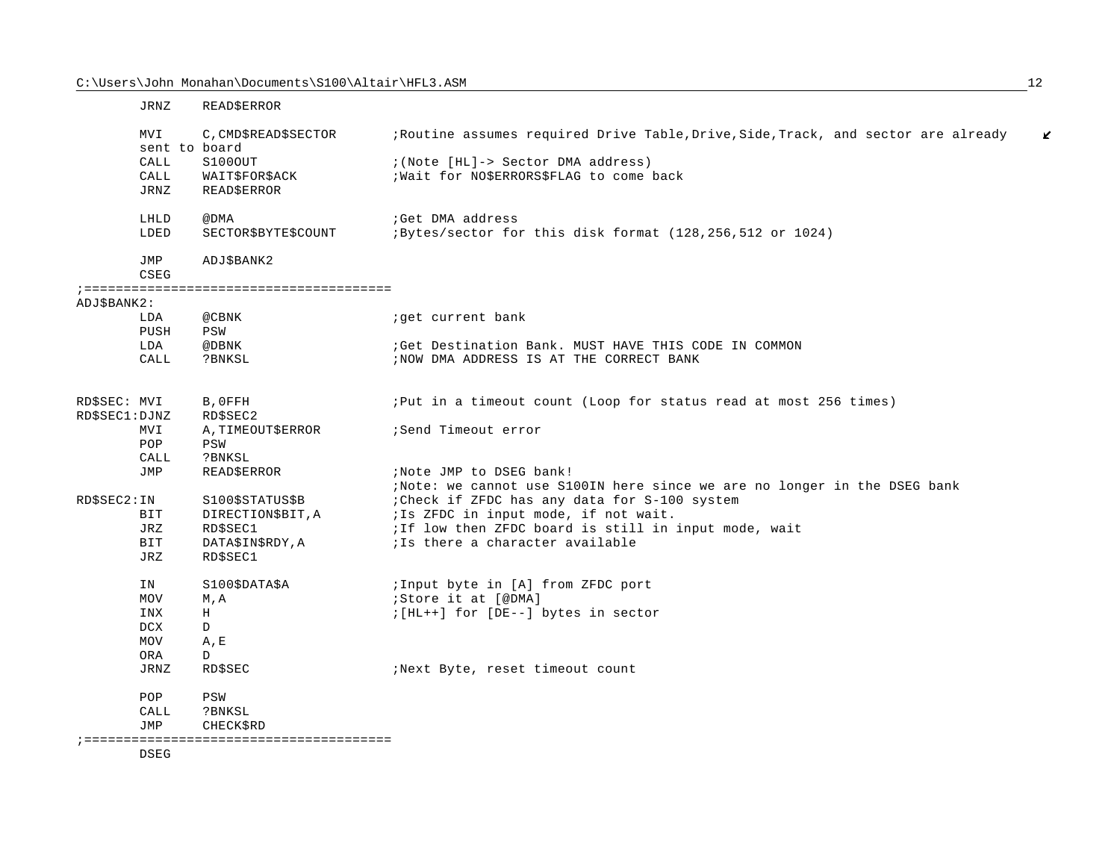|                | <b>JRNZ</b>          | <b>READSERROR</b>    |                                                                                    |
|----------------|----------------------|----------------------|------------------------------------------------------------------------------------|
|                | MVI<br>sent to board | C, CMD\$READ\$SECTOR | ; Routine assumes required Drive Table, Drive, Side, Track, and sector are already |
|                | CALL                 | S100OUT              | ; (Note [HL]-> Sector DMA address)                                                 |
|                | CALL                 | WAITSFORSACK         | ; Wait for NO\$ERRORS\$FLAG to come back                                           |
|                | JRNZ                 | READ\$ERROR          |                                                                                    |
|                | LHLD                 | @DMA                 | ;Get DMA address                                                                   |
|                | LDED                 | SECTOR\$BYTE\$COUNT  | ; Bytes/sector for this disk format (128, 256, 512 or 1024)                        |
|                | JMP                  | ADJ\$BANK2           |                                                                                    |
|                | CSEG                 |                      |                                                                                    |
|                |                      |                      |                                                                                    |
| ADJ\$BANK2:    |                      |                      |                                                                                    |
|                | LDA                  | @CBNK                | iget current bank                                                                  |
|                | PUSH                 | PSW                  |                                                                                    |
|                | LDA                  | @DBNK                | Get Destination Bank. MUST HAVE THIS CODE IN COMMON                                |
|                | CALL                 | ?BNKSL               | ; NOW DMA ADDRESS IS AT THE CORRECT BANK                                           |
| RDSSEC: MVI    |                      | B, OFFH              | ; Put in a timeout count (Loop for status read at most 256 times)                  |
| RD\$SEC1: DJNZ |                      | RD\$SEC2             |                                                                                    |
|                | MVI                  | A, TIMEOUT\$ERROR    | Send Timeout error                                                                 |
|                | POP                  | PSW                  |                                                                                    |
|                | CALL                 | ?BNKSL               |                                                                                    |
|                | JMP                  | <b>READ\$ERROR</b>   | ; Note JMP to DSEG bank!                                                           |
|                |                      |                      | Wote: we cannot use S100IN here since we are no longer in the DSEG bank            |
| RD\$SEC2: IN   |                      | S100\$STATUS\$B      | : Check if ZFDC has any data for S-100 system                                      |
|                | <b>BIT</b>           | DIRECTION\$BIT, A    | ; Is ZFDC in input mode, if not wait.                                              |
|                | <b>JRZ</b>           | RD\$SEC1             | ; If low then ZFDC board is still in input mode, wait                              |
|                | <b>BIT</b>           | DATASINSRDY.A        | ils there a character available                                                    |

| IN<br>MOV  | S100\$DATA\$A<br>M.A | ; Input byte in [A] from ZFDC port<br>;Store it at [@DMA] |
|------------|----------------------|-----------------------------------------------------------|
|            |                      |                                                           |
| INX        | Н                    | ; [HL++] for [DE--] bytes in sector                       |
| DCX        | D                    |                                                           |
| <b>MOV</b> | A.E                  |                                                           |
| ORA        |                      |                                                           |

JRNZ RD\$SEC : Next Byte, reset timeout count

POP  $_{\tt PSW}$ 

CALL ?BNKSL

JRZ RD\$SEC1

JMP CHECK\$RD

;=======================================

DSEG

 $\mathbf{z}$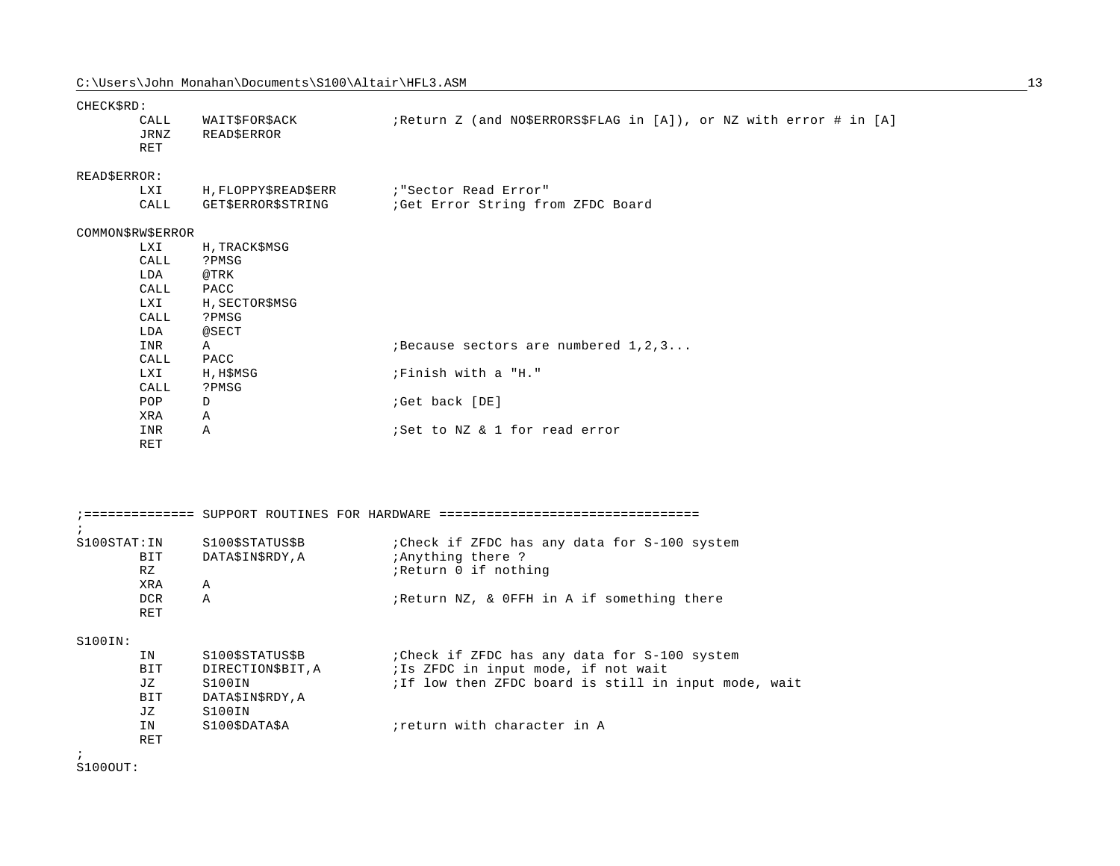| CHECK\$RD: |  |
|------------|--|
|            |  |

|              | CALL<br>JRNZ<br>RET | WAIT\$FOR\$ACK<br><b>READ\$ERROR</b>       | ; Return Z (and NO\$ERRORS\$FLAG in [A]), or NZ with error # in [A] |
|--------------|---------------------|--------------------------------------------|---------------------------------------------------------------------|
| READ\$ERROR: |                     |                                            |                                                                     |
|              | LXI                 | H, FLOPPY\$READ\$ERR : "Sector Read Error" |                                                                     |
|              | CALL                |                                            | GET\$ERROR\$STRING : Get Error String from ZFDC Board               |
|              | COMMON\$RW\$ERROR   |                                            |                                                                     |
|              | LXI                 | H, TRACK\$MSG                              |                                                                     |
|              | CALL                | ?PMSG                                      |                                                                     |
|              | LDA                 | @TRK                                       |                                                                     |
|              | CALL                | PACC                                       |                                                                     |
|              | LXI                 | H, SECTOR\$MSG                             |                                                                     |
|              | CALL                | ?PMSG                                      |                                                                     |
|              | LDA                 | @SECT                                      |                                                                     |
|              | INR                 | $\mathbb{A}$                               | <i>i</i> Because sectors are numbered 1, 2, 3                       |
|              | CALL                | PACC                                       |                                                                     |
|              | LXI                 | H, H\$MSG                                  | ;Finish with a "H."                                                 |
|              | CALL                | ?PMSG                                      |                                                                     |
|              | POP                 | D                                          | ;Get back [DE]                                                      |
|              | XRA                 | $\mathbb A$                                |                                                                     |
|              | INR                 | Α                                          | ;Set to NZ & 1 for read error                                       |
|              | RET                 |                                            |                                                                     |
|              |                     |                                            |                                                                     |
|              |                     |                                            |                                                                     |

| $\ddot{i}$                                                  | =========== SUPPORT ROUTINES FOR HARDWARE ========                                          |                                                                                                                                                                             |
|-------------------------------------------------------------|---------------------------------------------------------------------------------------------|-----------------------------------------------------------------------------------------------------------------------------------------------------------------------------|
| S100STAT:IN<br>BIT<br>RZ<br><b>XRA</b><br>DCR.              | S100\$STATUS\$B<br>DATA\$IN\$RDY, A<br>$\mathbb{A}$<br>$\mathbb{A}$                         | : Check if ZFDC has any data for S-100 system<br>; Anything there ?<br>Return 0 if nothing<br>; Return NZ, & OFFH in A if something there                                   |
| RET<br>S100IN:<br>ΙN<br>BIT<br>JZ<br>BIT<br>JZ<br>IN<br>RET | S100\$STATUS\$B<br>DIRECTION\$BIT, A<br>S100IN<br>DATA\$IN\$RDY, A<br>S100IN<br>S100SDATASA | : Check if ZFDC has any data for S-100 system<br>; Is ZFDC in input mode, if not wait<br>ilf low then ZFDC board is still in input mode, wait<br>return with character in A |
| $\cdot$                                                     |                                                                                             |                                                                                                                                                                             |

S100OUT: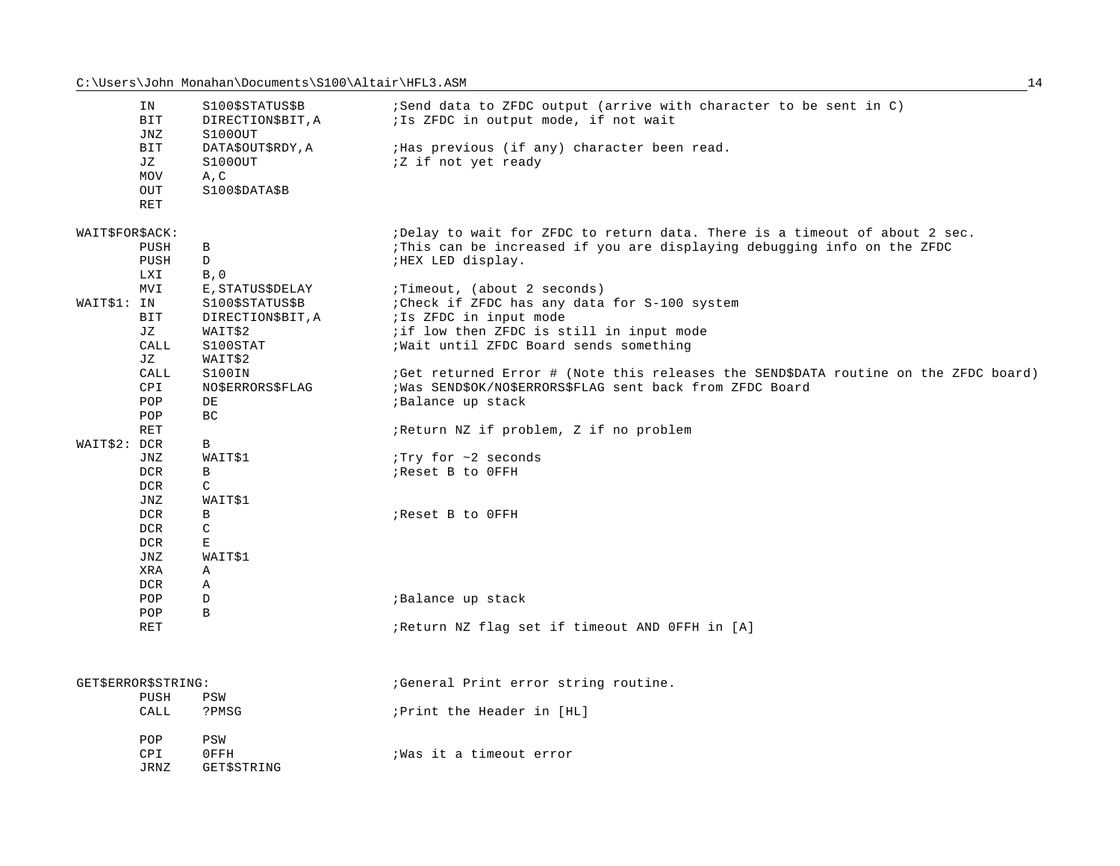|                 | IN<br>BIT<br>JNZ    | S100\$STATUS\$B<br>DIRECTION\$BIT, A<br>S100OUT | ;Send data to ZFDC output (arrive with character to be sent in C)<br>; Is ZFDC in output mode, if not wait |
|-----------------|---------------------|-------------------------------------------------|------------------------------------------------------------------------------------------------------------|
|                 | <b>BIT</b><br>JZ    | DATA\$OUT\$RDY, A<br>S100OUT                    | ; Has previous (if any) character been read.<br><i>iZ</i> if not yet ready                                 |
|                 | <b>MOV</b><br>OUT   | A, C<br>S100\$DATA\$B                           |                                                                                                            |
|                 | <b>RET</b>          |                                                 |                                                                                                            |
| WAIT\$FOR\$ACK: |                     |                                                 | ;Delay to wait for ZFDC to return data. There is a timeout of about 2 sec.                                 |
|                 | PUSH                | B                                               | This can be increased if you are displaying debugging info on the ZFDC                                     |
|                 | PUSH                | D                                               | ; HEX LED display.                                                                                         |
|                 | LXI<br><b>MVI</b>   | B, 0<br>E, STATUS\$DELAY                        | ;Timeout, (about 2 seconds)                                                                                |
| WAIT\$1: IN     |                     | S100\$STATUS\$B                                 | : Check if ZFDC has any data for S-100 system                                                              |
|                 | BIT                 | DIRECTION\$BIT, A                               | ; Is ZFDC in input mode                                                                                    |
|                 | JZ                  | WAIT\$2                                         | ; if low then ZFDC is still in input mode                                                                  |
|                 | CALL                | S100STAT                                        | ; Wait until ZFDC Board sends something                                                                    |
|                 | JZ                  | WAIT\$2                                         |                                                                                                            |
|                 | CALL                | S100IN                                          | (Get returned Error # (Note this releases the SEND\$DATA routine on the ZFDC board)                        |
|                 | CPI                 | <b>NO\$ERRORS\$FLAG</b>                         | ; Was SEND\$OK/NO\$ERRORS\$FLAG sent back from ZFDC Board                                                  |
|                 | POP<br>POP          | DE<br>BC                                        | ; Balance up stack                                                                                         |
|                 | <b>RET</b>          |                                                 | ; Return NZ if problem, Z if no problem                                                                    |
| WAIT\$2: DCR    |                     | B                                               |                                                                                                            |
|                 | JNZ                 | WAIT\$1                                         | Try for ~2 seconds                                                                                         |
|                 | <b>DCR</b>          | B                                               | ; Reset B to OFFH                                                                                          |
|                 | <b>DCR</b>          | C                                               |                                                                                                            |
|                 | JNZ                 | WAIT\$1                                         |                                                                                                            |
|                 | <b>DCR</b>          | B                                               | ; Reset B to OFFH                                                                                          |
|                 | <b>DCR</b>          | C                                               |                                                                                                            |
|                 | <b>DCR</b>          | Е                                               |                                                                                                            |
|                 | <b>JNZ</b><br>XRA   | WAIT\$1<br>Α                                    |                                                                                                            |
|                 | <b>DCR</b>          | Α                                               |                                                                                                            |
|                 | POP                 | D                                               | ; Balance up stack                                                                                         |
|                 | POP                 | $\mathbf{B}$                                    |                                                                                                            |
|                 | <b>RET</b>          |                                                 | ; Return NZ flag set if timeout AND OFFH in [A]                                                            |
|                 |                     |                                                 |                                                                                                            |
|                 | GET\$ERROR\$STRING: |                                                 | General Print error string routine.                                                                        |
|                 | PUSH                | PSW                                             |                                                                                                            |
|                 | CALL                | ?PMSG                                           | ; Print the Header in [HL]                                                                                 |
|                 | POP                 | PSW                                             |                                                                                                            |
|                 | CPI                 | 0FFH                                            | ; Was it a timeout error                                                                                   |
|                 | <b>JRNZ</b>         | GET\$STRING                                     |                                                                                                            |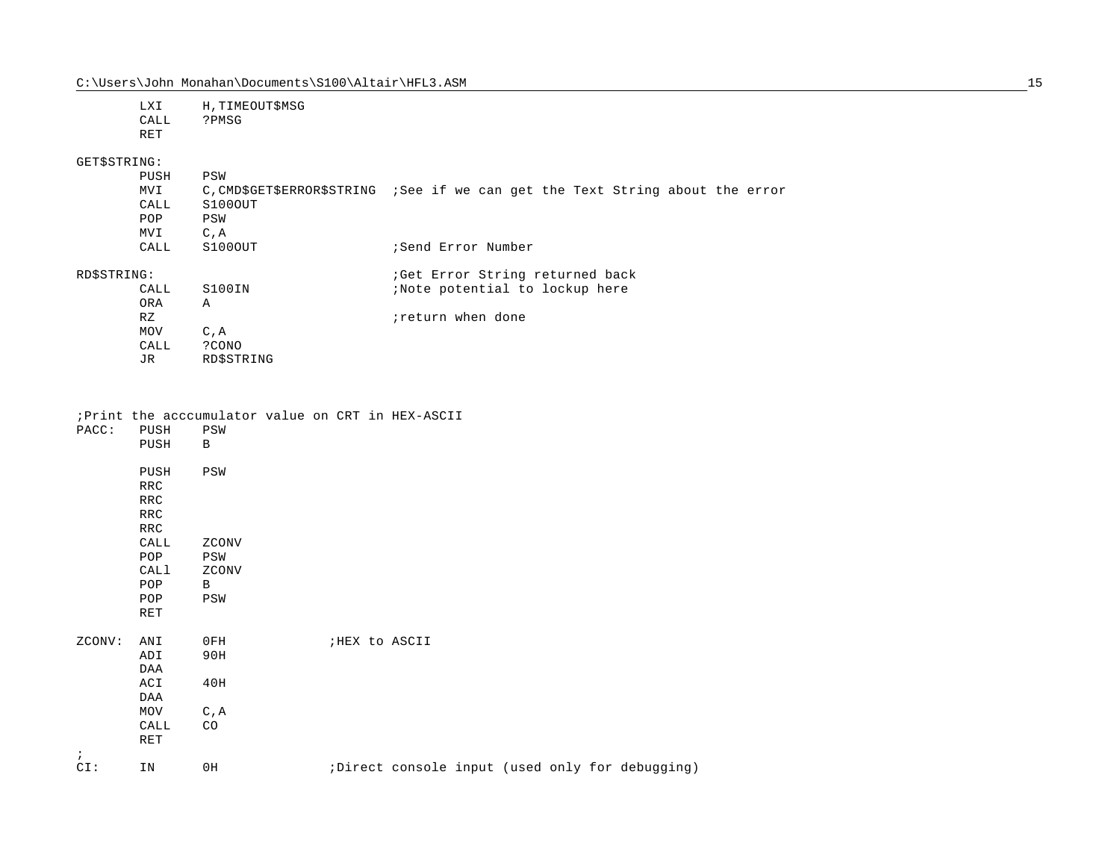|              | <b>LXI</b><br>CALL<br><b>RET</b> | H, TIMEOUT\$MSG<br>?PMSG |                                                                                |
|--------------|----------------------------------|--------------------------|--------------------------------------------------------------------------------|
| GET\$STRING: |                                  |                          |                                                                                |
|              | PUSH                             | PSW                      |                                                                                |
|              | MVI                              |                          | C, CMD\$GET\$ERROR\$STRING ; See if we can get the Text String about the error |
|              | CALL                             | S100OUT                  |                                                                                |
|              | POP                              | PSW                      |                                                                                |
|              | MVI                              | C, A                     |                                                                                |
|              | CALL                             | S100OUT                  | Send Error Number                                                              |
| RD\$STRING:  |                                  |                          | ; Get Error String returned back                                               |
|              | CALL                             | S100IN                   | ;Note potential to lockup here                                                 |
|              | ORA                              | $\mathbb A$              |                                                                                |
|              | RZ                               |                          | ireturn when done                                                              |
|              | MOV                              | $C$ , $A$                |                                                                                |
|              | CALL                             | ?CONO                    |                                                                                |
|              | JR.                              | RDSSTRING                |                                                                                |

## ;Print the acccumulator value on CRT in HEX-ASCII

| PACC:      | PUSH       | PSW          |                |  |  |                                                 |
|------------|------------|--------------|----------------|--|--|-------------------------------------------------|
|            | PUSH       | B            |                |  |  |                                                 |
|            | PUSH       | PSW          |                |  |  |                                                 |
|            | RRC        |              |                |  |  |                                                 |
|            | <b>RRC</b> |              |                |  |  |                                                 |
|            | <b>RRC</b> |              |                |  |  |                                                 |
|            | RRC        |              |                |  |  |                                                 |
|            | CALL       | ZCONV        |                |  |  |                                                 |
|            | POP        | PSW          |                |  |  |                                                 |
|            | CALl       | ZCONV        |                |  |  |                                                 |
|            | POP        | $\mathbf{B}$ |                |  |  |                                                 |
|            | POP        | PSW          |                |  |  |                                                 |
|            | RET        |              |                |  |  |                                                 |
| ZCONV:     | ANI        | 0FH          | ; HEX to ASCII |  |  |                                                 |
|            | ADI        | 90H          |                |  |  |                                                 |
|            | DAA        |              |                |  |  |                                                 |
|            | ACI        | 40H          |                |  |  |                                                 |
|            | DAA        |              |                |  |  |                                                 |
|            | MOV        | C, A         |                |  |  |                                                 |
|            | CALL       | CO           |                |  |  |                                                 |
|            | RET        |              |                |  |  |                                                 |
| $\ddot{i}$ |            |              |                |  |  |                                                 |
| CI:        | IN         | 0H           |                |  |  | ;Direct console input (used only for debugging) |